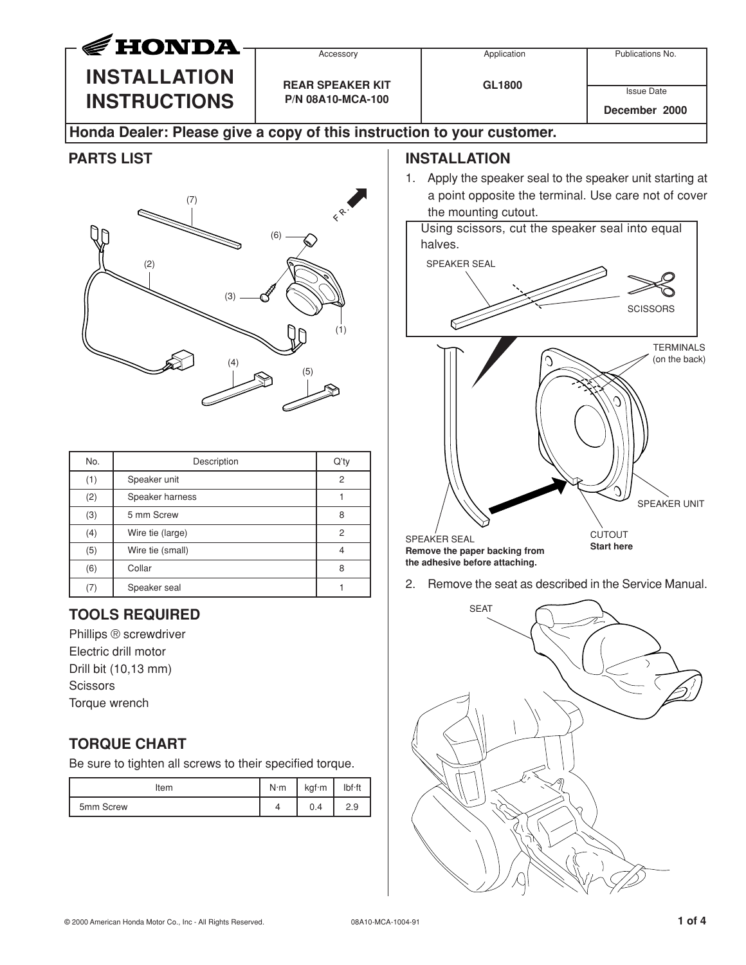

## (2) (6) (7) (3) (4) (5) (1)

| No. | Description      | Q'ty |
|-----|------------------|------|
| (1) | Speaker unit     | 2    |
| (2) | Speaker harness  |      |
| (3) | 5 mm Screw       | 8    |
| (4) | Wire tie (large) | 2    |
| (5) | Wire tie (small) |      |
| (6) | Collar           | 8    |
| (7) | Speaker seal     |      |

## **TOOLS REQUIRED**

Phillips ® screwdriver Electric drill motor Drill bit (10,13 mm) **Scissors** Torque wrench

## **TORQUE CHART**

Be sure to tighten all screws to their specified torque.

| Item      | $N \cdot m$ | kgf·m | lbf·ft |
|-----------|-------------|-------|--------|
| 5mm Screw |             | 0.4   | 2.9    |

## **INSTALLATION**

1. Apply the speaker seal to the speaker unit starting at a point opposite the terminal. Use care not of cover the mounting cutout.

Using scissors, cut the speaker seal into equal halves.



2. Remove the seat as described in the Service Manual.

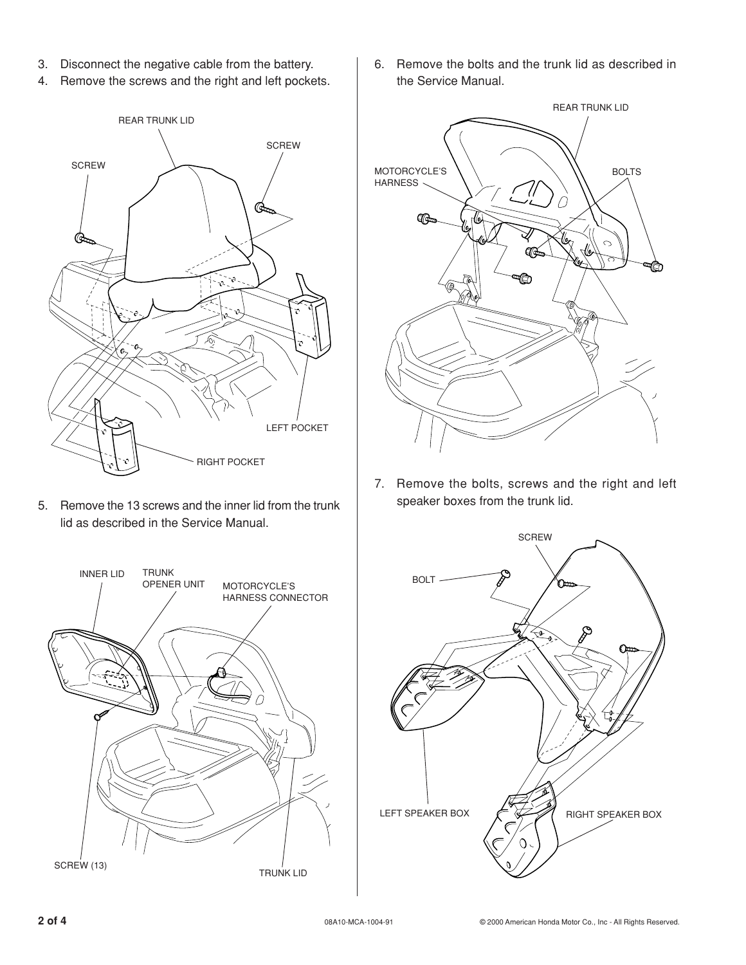- 3. Disconnect the negative cable from the battery.
- 4. Remove the screws and the right and left pockets.



5. Remove the 13 screws and the inner lid from the trunk lid as described in the Service Manual.



6. Remove the bolts and the trunk lid as described in the Service Manual.



7. Remove the bolts, screws and the right and left speaker boxes from the trunk lid.

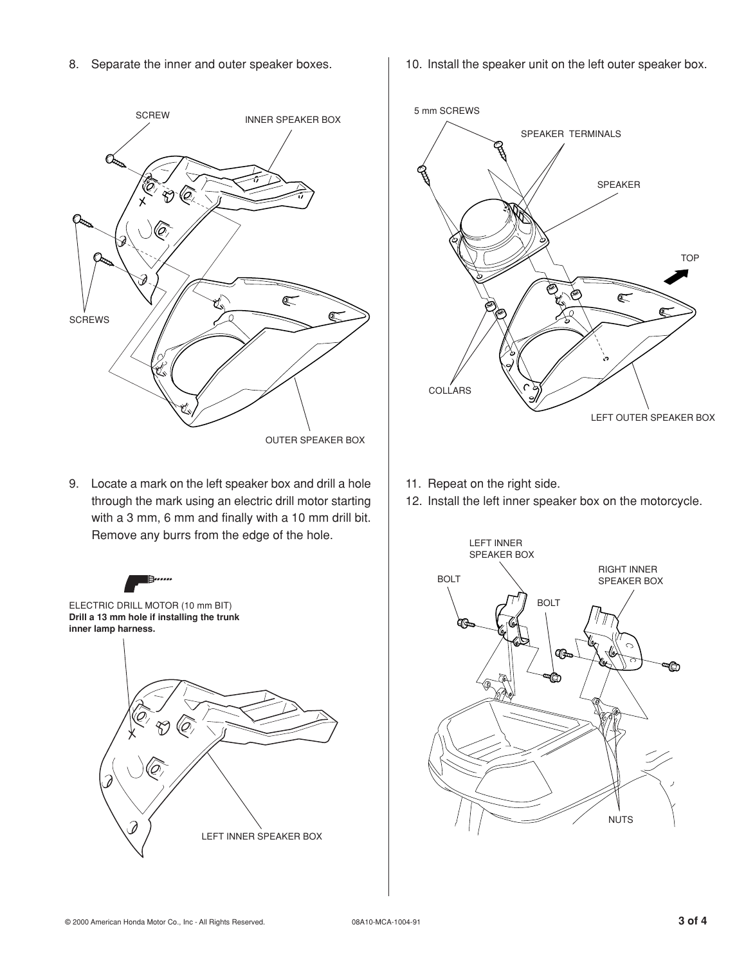8. Separate the inner and outer speaker boxes.



9. Locate a mark on the left speaker box and drill a hole through the mark using an electric drill motor starting with a 3 mm, 6 mm and finally with a 10 mm drill bit. Remove any burrs from the edge of the hole.



10. Install the speaker unit on the left outer speaker box.



- 11. Repeat on the right side.
- 12. Install the left inner speaker box on the motorcycle.